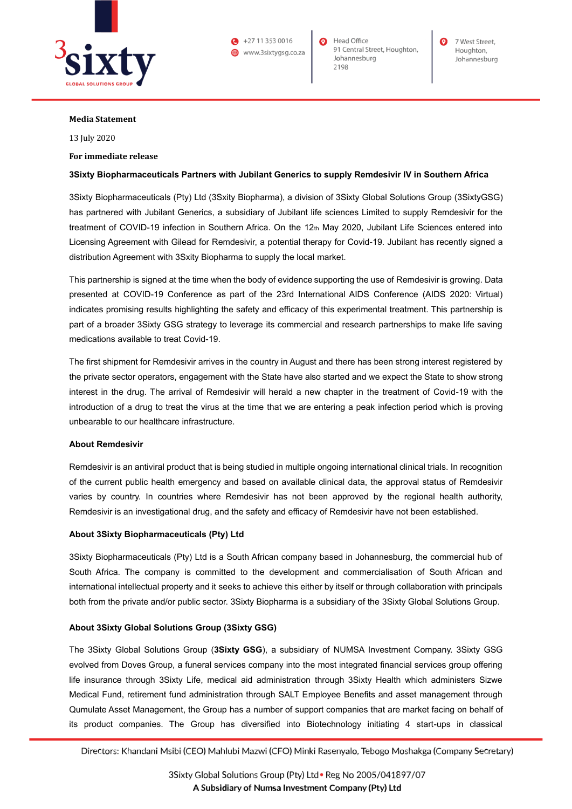

 $\bullet$  +27 11 353 0016 (a) www.3sixtygsg.co.za Head Office 91 Central Street, Houghton, Johannesburg 2198

7 West Street Houghton, Johannesburg

# **Media Statement**

13 July 2020

### **For immediate release**

# **3Sixty Biopharmaceuticals Partners with Jubilant Generics to supply Remdesivir IV in Southern Africa**

3Sixty Biopharmaceuticals (Pty) Ltd (3Sxity Biopharma), a division of 3Sixty Global Solutions Group (3SixtyGSG) has partnered with Jubilant Generics, a subsidiary of Jubilant life sciences Limited to supply Remdesivir for the treatment of COVID-19 infection in Southern Africa. On the 12th May 2020, Jubilant Life Sciences entered into Licensing Agreement with Gilead for Remdesivir, a potential therapy for Covid-19. Jubilant has recently signed a distribution Agreement with 3Sxity Biopharma to supply the local market.

This partnership is signed at the time when the body of evidence supporting the use of Remdesivir is growing. Data presented at COVID-19 Conference as part of the 23rd International AIDS Conference (AIDS 2020: Virtual) indicates promising results highlighting the safety and efficacy of this experimental treatment. This partnership is part of a broader 3Sixty GSG strategy to leverage its commercial and research partnerships to make life saving medications available to treat Covid-19.

The first shipment for Remdesivir arrives in the country in August and there has been strong interest registered by the private sector operators, engagement with the State have also started and we expect the State to show strong interest in the drug. The arrival of Remdesivir will herald a new chapter in the treatment of Covid-19 with the introduction of a drug to treat the virus at the time that we are entering a peak infection period which is proving unbearable to our healthcare infrastructure.

### **About Remdesivir**

Remdesivir is an antiviral product that is being studied in multiple ongoing international clinical trials. In recognition of the current public health emergency and based on available clinical data, the approval status of Remdesivir varies by country. In countries where Remdesivir has not been approved by the regional health authority, Remdesivir is an investigational drug, and the safety and efficacy of Remdesivir have not been established.

### **About 3Sixty Biopharmaceuticals (Pty) Ltd**

3Sixty Biopharmaceuticals (Pty) Ltd is a South African company based in Johannesburg, the commercial hub of South Africa. The company is committed to the development and commercialisation of South African and international intellectual property and it seeks to achieve this either by itself or through collaboration with principals both from the private and/or public sector. 3Sixty Biopharma is a subsidiary of the 3Sixty Global Solutions Group.

# **About 3Sixty Global Solutions Group (3Sixty GSG)**

The 3Sixty Global Solutions Group (**3Sixty GSG**), a subsidiary of NUMSA Investment Company. 3Sixty GSG evolved from Doves Group, a funeral services company into the most integrated financial services group offering life insurance through 3Sixty Life, medical aid administration through 3Sixty Health which administers Sizwe Medical Fund, retirement fund administration through SALT Employee Benefits and asset management through Qumulate Asset Management, the Group has a number of support companies that are market facing on behalf of its product companies. The Group has diversified into Biotechnology initiating 4 start-ups in classical

Directors: Khandani Msibi (CEO) Mahlubi Mazwi (CFO) Minki Rasenyalo, Tebogo Moshakga (Company Secretary)